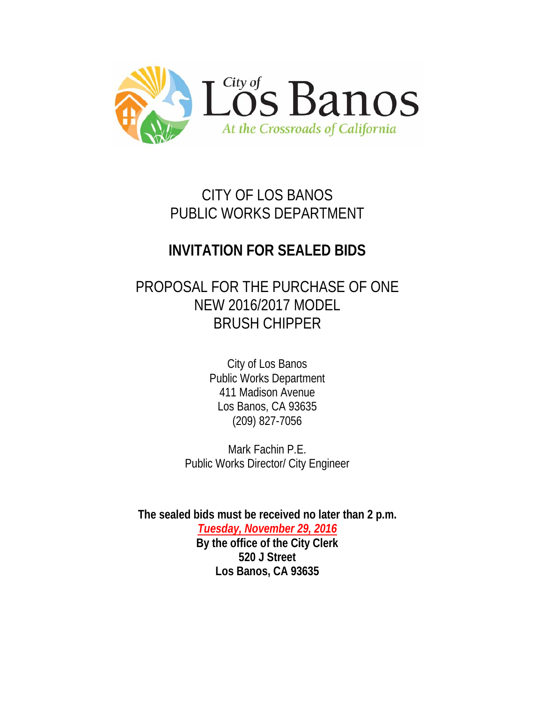

# CITY OF LOS BANOS PUBLIC WORKS DEPARTMENT

# **INVITATION FOR SEALED BIDS**

# PROPOSAL FOR THE PURCHASE OF ONE NEW 2016/2017 MODEL BRUSH CHIPPER

City of Los Banos Public Works Department 411 Madison Avenue Los Banos, CA 93635 (209) 827-7056

Mark Fachin P.E. Public Works Director/ City Engineer

**The sealed bids must be received no later than 2 p.m.** *Tuesday, November 29, 2016* **By the office of the City Clerk 520 J Street Los Banos, CA 93635**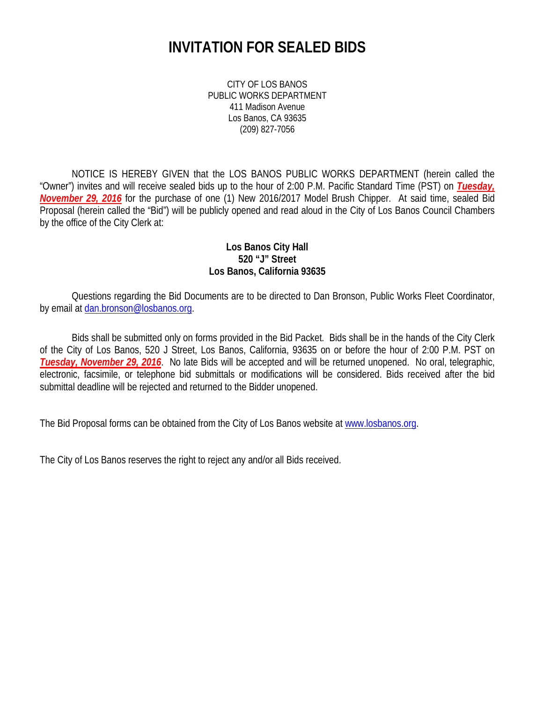## **INVITATION FOR SEALED BIDS**

CITY OF LOS BANOS PUBLIC WORKS DEPARTMENT 411 Madison Avenue Los Banos, CA 93635 (209) 827-7056

NOTICE IS HEREBY GIVEN that the LOS BANOS PUBLIC WORKS DEPARTMENT (herein called the "Owner") invites and will receive sealed bids up to the hour of 2:00 P.M. Pacific Standard Time (PST) on *Tuesday, November 29, 2016* for the purchase of one (1) New 2016/2017 Model Brush Chipper. At said time, sealed Bid Proposal (herein called the "Bid") will be publicly opened and read aloud in the City of Los Banos Council Chambers by the office of the City Clerk at:

#### **Los Banos City Hall 520 "J" Street Los Banos, California 93635**

Questions regarding the Bid Documents are to be directed to Dan Bronson, Public Works Fleet Coordinator, by email at [dan.bronson@losbanos.org.](mailto:dan.bronson@losbanos.org)

Bids shall be submitted only on forms provided in the Bid Packet. Bids shall be in the hands of the City Clerk of the City of Los Banos, 520 J Street, Los Banos, California, 93635 on or before the hour of 2:00 P.M. PST on *Tuesday, November 29, 2016*. No late Bids will be accepted and will be returned unopened. No oral, telegraphic, electronic, facsimile, or telephone bid submittals or modifications will be considered. Bids received after the bid submittal deadline will be rejected and returned to the Bidder unopened.

The Bid Proposal forms can be obtained from the City of Los Banos website at www.losbanos.org.

The City of Los Banos reserves the right to reject any and/or all Bids received.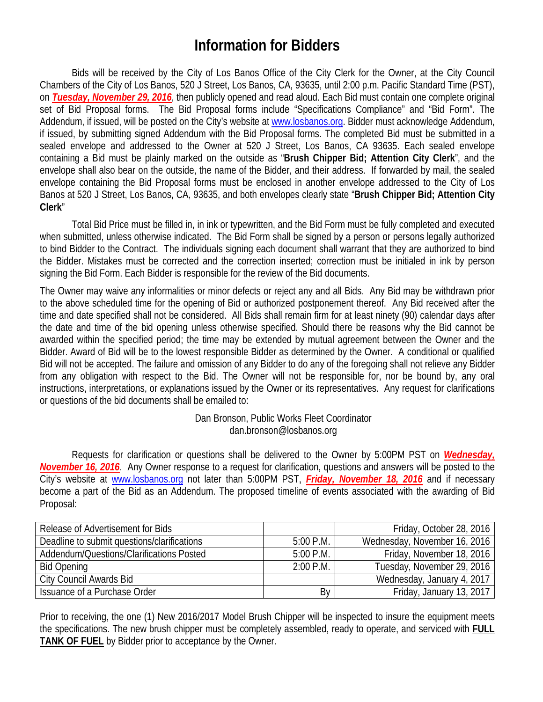## **Information for Bidders**

Bids will be received by the City of Los Banos Office of the City Clerk for the Owner, at the City Council Chambers of the City of Los Banos, 520 J Street, Los Banos, CA, 93635, until 2:00 p.m. Pacific Standard Time (PST), on *Tuesday, November 29, 2016*, then publicly opened and read aloud. Each Bid must contain one complete original set of Bid Proposal forms. The Bid Proposal forms include "Specifications Compliance" and "Bid Form". The Addendum, if issued, will be posted on the City's website at [www.losbanos.org.](http://www.losbanos.org/) Bidder must acknowledge Addendum, if issued, by submitting signed Addendum with the Bid Proposal forms. The completed Bid must be submitted in a sealed envelope and addressed to the Owner at 520 J Street, Los Banos, CA 93635. Each sealed envelope containing a Bid must be plainly marked on the outside as "**Brush Chipper Bid; Attention City Clerk**", and the envelope shall also bear on the outside, the name of the Bidder, and their address. If forwarded by mail, the sealed envelope containing the Bid Proposal forms must be enclosed in another envelope addressed to the City of Los Banos at 520 J Street, Los Banos, CA, 93635, and both envelopes clearly state "**Brush Chipper Bid; Attention City Clerk**"

Total Bid Price must be filled in, in ink or typewritten, and the Bid Form must be fully completed and executed when submitted, unless otherwise indicated. The Bid Form shall be signed by a person or persons legally authorized to bind Bidder to the Contract. The individuals signing each document shall warrant that they are authorized to bind the Bidder. Mistakes must be corrected and the correction inserted; correction must be initialed in ink by person signing the Bid Form. Each Bidder is responsible for the review of the Bid documents.

The Owner may waive any informalities or minor defects or reject any and all Bids. Any Bid may be withdrawn prior to the above scheduled time for the opening of Bid or authorized postponement thereof. Any Bid received after the time and date specified shall not be considered. All Bids shall remain firm for at least ninety (90) calendar days after the date and time of the bid opening unless otherwise specified. Should there be reasons why the Bid cannot be awarded within the specified period; the time may be extended by mutual agreement between the Owner and the Bidder. Award of Bid will be to the lowest responsible Bidder as determined by the Owner. A conditional or qualified Bid will not be accepted. The failure and omission of any Bidder to do any of the foregoing shall not relieve any Bidder from any obligation with respect to the Bid. The Owner will not be responsible for, nor be bound by, any oral instructions, interpretations, or explanations issued by the Owner or its representatives. Any request for clarifications or questions of the bid documents shall be emailed to:

> Dan Bronson, Public Works Fleet Coordinator dan.bronson@losbanos.org

Requests for clarification or questions shall be delivered to the Owner by 5:00PM PST on *Wednesday, November 16, 2016*. Any Owner response to a request for clarification, questions and answers will be posted to the City's website at [www.losbanos.org](http://www.losbanos.org/) not later than 5:00PM PST, *Friday, November 18, 2016* and if necessary become a part of the Bid as an Addendum. The proposed timeline of events associated with the awarding of Bid Proposal:

| Release of Advertisement for Bids           |             | Friday, October 28, 2016     |
|---------------------------------------------|-------------|------------------------------|
| Deadline to submit questions/clarifications | $5:00$ P.M. | Wednesday, November 16, 2016 |
| Addendum/Questions/Clarifications Posted    | $5:00$ P.M. | Friday, November 18, 2016    |
| <b>Bid Opening</b>                          | $2:00$ P.M. | Tuesday, November 29, 2016   |
| <b>City Council Awards Bid</b>              |             | Wednesday, January 4, 2017   |
| Issuance of a Purchase Order                | By          | Friday, January 13, 2017     |

Prior to receiving, the one (1) New 2016/2017 Model Brush Chipper will be inspected to insure the equipment meets the specifications. The new brush chipper must be completely assembled, ready to operate, and serviced with **FULL TANK OF FUEL** by Bidder prior to acceptance by the Owner.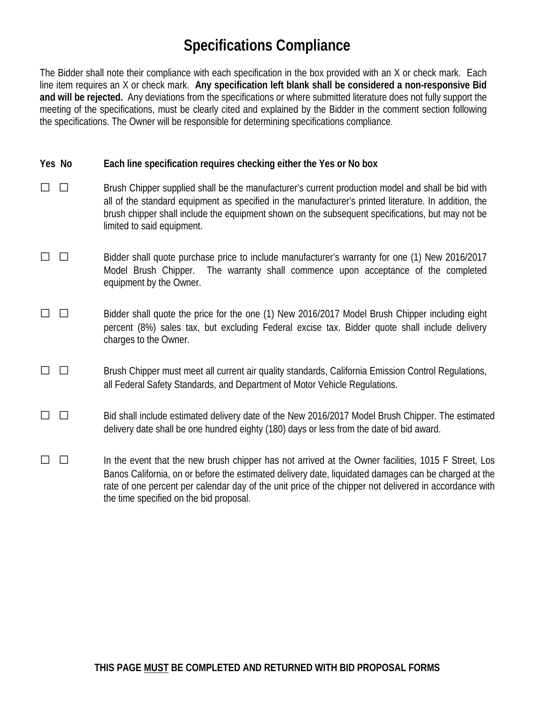# **Specifications Compliance**

The Bidder shall note their compliance with each specification in the box provided with an X or check mark. Each line item requires an X or check mark. **Any specification left blank shall be considered a non-responsive Bid and will be rejected.** Any deviations from the specifications or where submitted literature does not fully support the meeting of the specifications, must be clearly cited and explained by the Bidder in the comment section following the specifications. The Owner will be responsible for determining specifications compliance.

#### **Yes No Each line specification requires checking either the Yes or No box**

- □ □ Brush Chipper supplied shall be the manufacturer's current production model and shall be bid with all of the standard equipment as specified in the manufacturer's printed literature. In addition, the brush chipper shall include the equipment shown on the subsequent specifications, but may not be limited to said equipment.
- □ □ Bidder shall quote purchase price to include manufacturer's warranty for one (1) New 2016/2017 Model Brush Chipper. The warranty shall commence upon acceptance of the completed equipment by the Owner.
- □ □ Bidder shall quote the price for the one (1) New 2016/2017 Model Brush Chipper including eight percent (8%) sales tax, but excluding Federal excise tax. Bidder quote shall include delivery charges to the Owner.
- □ □ Brush Chipper must meet all current air quality standards, California Emission Control Regulations, all Federal Safety Standards, and Department of Motor Vehicle Regulations.
- □ □ Bid shall include estimated delivery date of the New 2016/2017 Model Brush Chipper. The estimated delivery date shall be one hundred eighty (180) days or less from the date of bid award.
- $\Box$   $\Box$  In the event that the new brush chipper has not arrived at the Owner facilities, 1015 F Street, Los Banos California, on or before the estimated delivery date, liquidated damages can be charged at the rate of one percent per calendar day of the unit price of the chipper not delivered in accordance with the time specified on the bid proposal.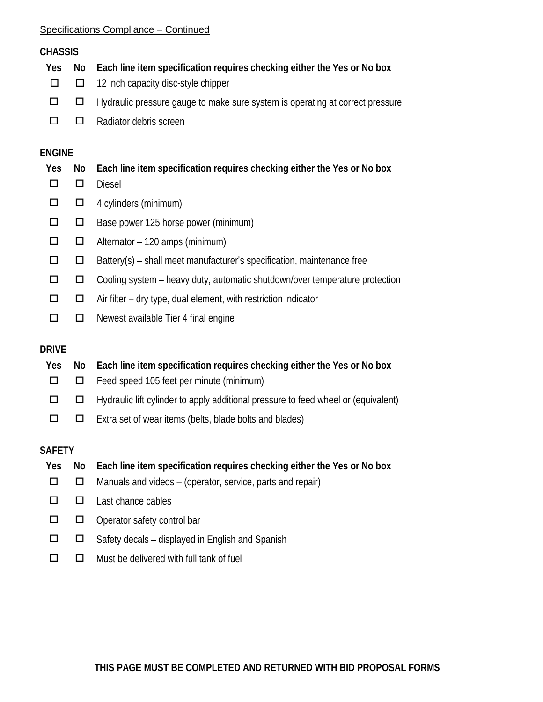#### Specifications Compliance – Continued

### **CHASSIS**

- **Yes No Each line item specification requires checking either the Yes or No box**  $\Box$   $\Box$  12 inch capacity disc-style chipper  $\Box$   $\Box$  Hydraulic pressure gauge to make sure system is operating at correct pressure
- $\Box$   $\Box$  Radiator debris screen

## **ENGINE**

| Yes    |        | No Each line item specification requires checking either the Yes or No box |
|--------|--------|----------------------------------------------------------------------------|
|        |        | <b>Diesel</b>                                                              |
| $\Box$ |        | $\Box$ 4 cylinders (minimum)                                               |
|        | $\Box$ | Base power 125 horse power (minimum)                                       |
|        |        | $\Box$ Alternator – 120 amps (minimum)                                     |
|        |        | Battery(s) – shall meet manufacturer's specification, maintenance free     |
|        |        |                                                                            |

- $\square$   $\square$  Cooling system heavy duty, automatic shutdown/over temperature protection
- $\Box$   $\Box$  Air filter dry type, dual element, with restriction indicator
- $\Box$   $\Box$  Newest available Tier 4 final engine

## **DRIVE**

| Yes    | No Each line item specification requires checking either the Yes or No box                       |
|--------|--------------------------------------------------------------------------------------------------|
|        | $\Box$ $\Box$ Feed speed 105 feet per minute (minimum)                                           |
|        | $\Box$ $\Box$ Hydraulic lift cylinder to apply additional pressure to feed wheel or (equivalent) |
| $\Box$ | $\Box$ Extra set of wear items (belts, blade bolts and blades)                                   |

### **SAFETY**

- **Yes No Each line item specification requires checking either the Yes or No box**  $\Box$   $\Box$  Manuals and videos – (operator, service, parts and repair)  $\Box$   $\Box$  Last chance cables  $\square$   $\square$  Operator safety control bar  $\Box$   $\Box$  Safety decals – displayed in English and Spanish
- $\square$   $\square$  Must be delivered with full tank of fuel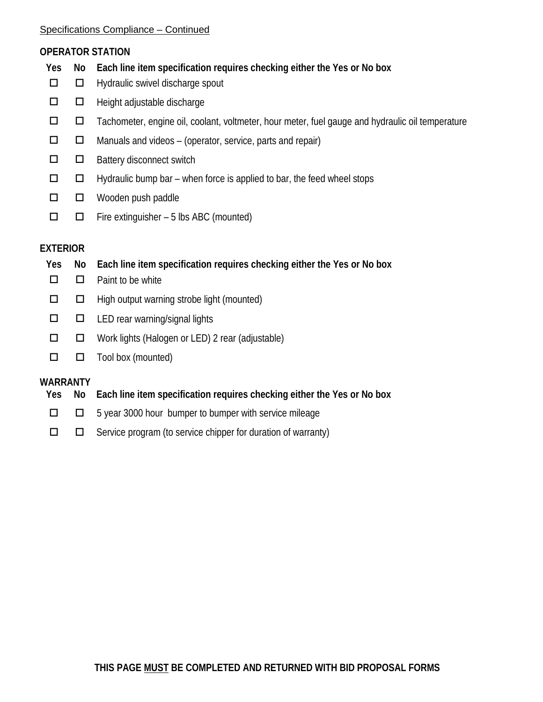#### Specifications Compliance – Continued

#### **OPERATOR STATION**

- **Yes No Each line item specification requires checking either the Yes or No box**
- $\Box$   $\Box$  Hydraulic swivel discharge spout
- $\Box$   $\Box$  Height adjustable discharge
- $\Box$   $\Box$  Tachometer, engine oil, coolant, voltmeter, hour meter, fuel gauge and hydraulic oil temperature
- $\Box$   $\Box$  Manuals and videos (operator, service, parts and repair)
- $\square$   $\square$  Battery disconnect switch
- $\Box$   $\Box$  Hydraulic bump bar when force is applied to bar, the feed wheel stops
- $\Box$   $\Box$  Wooden push paddle
- $\Box$   $\Box$  Fire extinguisher 5 lbs ABC (mounted)

## **EXTERIOR**

- **Yes No Each line item specification requires checking either the Yes or No box**
- $\Box$   $\Box$  Paint to be white
- $\Box$   $\Box$  High output warning strobe light (mounted)
- $\square$   $\square$  LED rear warning/signal lights
- $\Box$   $\Box$  Work lights (Halogen or LED) 2 rear (adjustable)
- $\Box$   $\Box$  Tool box (mounted)

### **WARRANTY**

- **Yes No Each line item specification requires checking either the Yes or No box**
- $\Box$   $\Box$  5 year 3000 hour bumper to bumper with service mileage
- $\square$   $\square$  Service program (to service chipper for duration of warranty)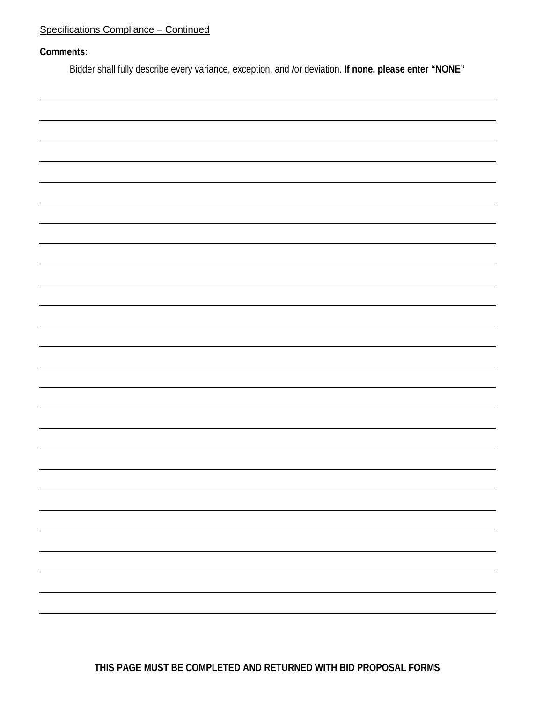### Specifications Compliance – Continued

#### **Comments:**

Bidder shall fully describe every variance, exception, and /or deviation. **If none, please enter "NONE"**



**THIS PAGE MUST BE COMPLETED AND RETURNED WITH BID PROPOSAL FORMS**